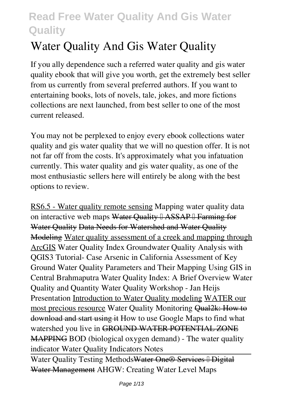# **Water Quality And Gis Water Quality**

If you ally dependence such a referred **water quality and gis water quality** ebook that will give you worth, get the extremely best seller from us currently from several preferred authors. If you want to entertaining books, lots of novels, tale, jokes, and more fictions collections are next launched, from best seller to one of the most current released.

You may not be perplexed to enjoy every ebook collections water quality and gis water quality that we will no question offer. It is not not far off from the costs. It's approximately what you infatuation currently. This water quality and gis water quality, as one of the most enthusiastic sellers here will entirely be along with the best options to review.

RS6.5 - Water quality remote sensing Mapping water quality data on interactive web maps Water Quality <sup>0</sup> ASSAP <sup>0</sup> Farming for Water Quality Data Needs for Watershed and Water Quality Modeling Water quality assessment of a creek and mapping through ArcGIS Water Quality Index Groundwater Quality Analysis with QGIS3 Tutorial- Case Arsenic in California *Assessment of Key Ground Water Quality Parameters and Their Mapping Using GIS in Central Brahmaputra Water Quality Index: A Brief Overview Water Quality and Quantity* Water Quality Workshop - Jan Heijs Presentation Introduction to Water Quality modeling WATER our most precious resource *Water Quality Monitoring* Qual2k: How to download and start using it How to use Google Maps to find what watershed you live in GROUND WATER POTENTIAL ZONE MAPPING **BOD (biological oxygen demand) - The water quality indicator** Water Quality Indicators Notes

Water Quality Testing Methods Water One<sup>®</sup> Services <sup>[]</sup> Digital Water Management *AHGW: Creating Water Level Maps*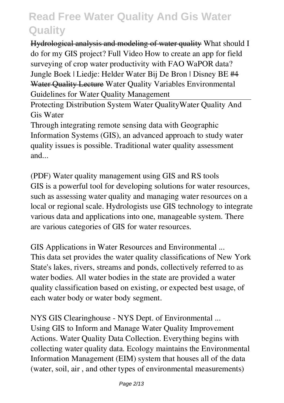Hydrological analysis and modeling of water quality *What should I do for my GIS project? Full Video How to create an app for field surveying of crop water productivity with FAO WaPOR data? Jungle Boek | Liedje: Helder Water Bij De Bron | Disney BE #4* Water Quality Lecture *Water Quality Variables* Environmental Guidelines for Water Quality Management

Protecting Distribution System Water Quality*Water Quality And Gis Water*

Through integrating remote sensing data with Geographic Information Systems (GIS), an advanced approach to study water quality issues is possible. Traditional water quality assessment and...

*(PDF) Water quality management using GIS and RS tools* GIS is a powerful tool for developing solutions for water resources, such as assessing water quality and managing water resources on a local or regional scale. Hydrologists use GIS technology to integrate various data and applications into one, manageable system. There are various categories of GIS for water resources.

*GIS Applications in Water Resources and Environmental ...* This data set provides the water quality classifications of New York State's lakes, rivers, streams and ponds, collectively referred to as water bodies. All water bodies in the state are provided a water quality classification based on existing, or expected best usage, of each water body or water body segment.

*NYS GIS Clearinghouse - NYS Dept. of Environmental ...* Using GIS to Inform and Manage Water Quality Improvement Actions. Water Quality Data Collection. Everything begins with collecting water quality data. Ecology maintains the Environmental Information Management (EIM) system that houses all of the data (water, soil, air , and other types of environmental measurements)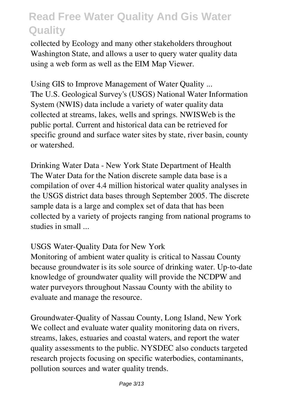collected by Ecology and many other stakeholders throughout Washington State, and allows a user to query water quality data using a web form as well as the EIM Map Viewer.

*Using GIS to Improve Management of Water Quality ...* The U.S. Geological Survey's (USGS) National Water Information System (NWIS) data include a variety of water quality data collected at streams, lakes, wells and springs. NWISWeb is the public portal. Current and historical data can be retrieved for specific ground and surface water sites by state, river basin, county or watershed.

*Drinking Water Data - New York State Department of Health* The Water Data for the Nation discrete sample data base is a compilation of over 4.4 million historical water quality analyses in the USGS district data bases through September 2005. The discrete sample data is a large and complex set of data that has been collected by a variety of projects ranging from national programs to studies in small ...

#### *USGS Water-Quality Data for New York*

Monitoring of ambient water quality is critical to Nassau County because groundwater is its sole source of drinking water. Up-to-date knowledge of groundwater quality will provide the NCDPW and water purveyors throughout Nassau County with the ability to evaluate and manage the resource.

*Groundwater-Quality of Nassau County, Long Island, New York* We collect and evaluate water quality monitoring data on rivers, streams, lakes, estuaries and coastal waters, and report the water quality assessments to the public. NYSDEC also conducts targeted research projects focusing on specific waterbodies, contaminants, pollution sources and water quality trends.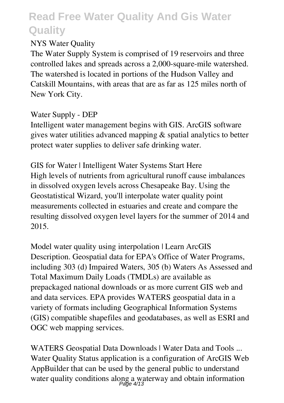#### *NYS Water Quality*

The Water Supply System is comprised of 19 reservoirs and three controlled lakes and spreads across a 2,000-square-mile watershed. The watershed is located in portions of the Hudson Valley and Catskill Mountains, with areas that are as far as 125 miles north of New York City.

#### *Water Supply - DEP*

Intelligent water management begins with GIS. ArcGIS software gives water utilities advanced mapping & spatial analytics to better protect water supplies to deliver safe drinking water.

*GIS for Water | Intelligent Water Systems Start Here* High levels of nutrients from agricultural runoff cause imbalances in dissolved oxygen levels across Chesapeake Bay. Using the Geostatistical Wizard, you'll interpolate water quality point measurements collected in estuaries and create and compare the resulting dissolved oxygen level layers for the summer of 2014 and 2015.

*Model water quality using interpolation | Learn ArcGIS* Description. Geospatial data for EPA's Office of Water Programs, including 303 (d) Impaired Waters, 305 (b) Waters As Assessed and Total Maximum Daily Loads (TMDLs) are available as prepackaged national downloads or as more current GIS web and and data services. EPA provides WATERS geospatial data in a variety of formats including Geographical Information Systems (GIS) compatible shapefiles and geodatabases, as well as ESRI and OGC web mapping services.

*WATERS Geospatial Data Downloads | Water Data and Tools ...* Water Quality Status application is a configuration of ArcGIS Web AppBuilder that can be used by the general public to understand water quality conditions along a waterway and obtain information Page 4/13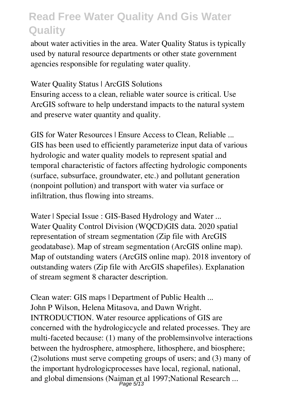about water activities in the area. Water Quality Status is typically used by natural resource departments or other state government agencies responsible for regulating water quality.

#### *Water Quality Status | ArcGIS Solutions*

Ensuring access to a clean, reliable water source is critical. Use ArcGIS software to help understand impacts to the natural system and preserve water quantity and quality.

*GIS for Water Resources | Ensure Access to Clean, Reliable ...* GIS has been used to efficiently parameterize input data of various hydrologic and water quality models to represent spatial and temporal characteristic of factors affecting hydrologic components (surface, subsurface, groundwater, etc.) and pollutant generation (nonpoint pollution) and transport with water via surface or infiltration, thus flowing into streams.

*Water | Special Issue : GIS-Based Hydrology and Water ...* Water Quality Control Division (WQCD)GIS data. 2020 spatial representation of stream segmentation (Zip file with ArcGIS geodatabase). Map of stream segmentation (ArcGIS online map). Map of outstanding waters (ArcGIS online map). 2018 inventory of outstanding waters (Zip file with ArcGIS shapefiles). Explanation of stream segment 8 character description.

*Clean water: GIS maps | Department of Public Health ...* John P Wilson, Helena Mitasova, and Dawn Wright. INTRODUCTION. Water resource applications of GIS are concerned with the hydrologiccycle and related processes. They are multi-faceted because: (1) many of the problemsinvolve interactions between the hydrosphere, atmosphere, lithosphere, and biosphere; (2)solutions must serve competing groups of users; and (3) many of the important hydrologicprocesses have local, regional, national, and global dimensions (Naiman et al 1997;National Research ... Page 5/13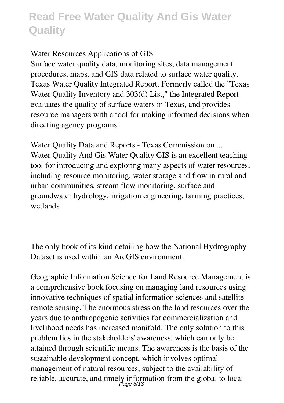#### *Water Resources Applications of GIS*

Surface water quality data, monitoring sites, data management procedures, maps, and GIS data related to surface water quality. Texas Water Quality Integrated Report. Formerly called the "Texas Water Quality Inventory and 303(d) List," the Integrated Report evaluates the quality of surface waters in Texas, and provides resource managers with a tool for making informed decisions when directing agency programs.

*Water Quality Data and Reports - Texas Commission on ...* Water Quality And Gis Water Quality GIS is an excellent teaching tool for introducing and exploring many aspects of water resources, including resource monitoring, water storage and flow in rural and urban communities, stream flow monitoring, surface and groundwater hydrology, irrigation engineering, farming practices, wetlands

The only book of its kind detailing how the National Hydrography Dataset is used within an ArcGIS environment.

Geographic Information Science for Land Resource Management is a comprehensive book focusing on managing land resources using innovative techniques of spatial information sciences and satellite remote sensing. The enormous stress on the land resources over the years due to anthropogenic activities for commercialization and livelihood needs has increased manifold. The only solution to this problem lies in the stakeholders' awareness, which can only be attained through scientific means. The awareness is the basis of the sustainable development concept, which involves optimal management of natural resources, subject to the availability of reliable, accurate, and timely information from the global to local<br>Page  $6/13$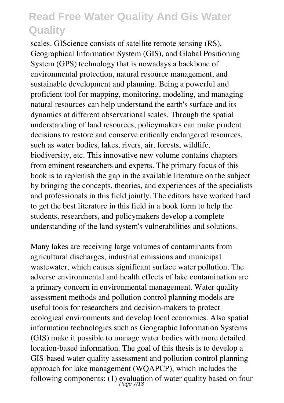scales. GIScience consists of satellite remote sensing (RS), Geographical Information System (GIS), and Global Positioning System (GPS) technology that is nowadays a backbone of environmental protection, natural resource management, and sustainable development and planning. Being a powerful and proficient tool for mapping, monitoring, modeling, and managing natural resources can help understand the earth's surface and its dynamics at different observational scales. Through the spatial understanding of land resources, policymakers can make prudent decisions to restore and conserve critically endangered resources, such as water bodies, lakes, rivers, air, forests, wildlife, biodiversity, etc. This innovative new volume contains chapters from eminent researchers and experts. The primary focus of this book is to replenish the gap in the available literature on the subject by bringing the concepts, theories, and experiences of the specialists and professionals in this field jointly. The editors have worked hard to get the best literature in this field in a book form to help the students, researchers, and policymakers develop a complete understanding of the land system's vulnerabilities and solutions.

Many lakes are receiving large volumes of contaminants from agricultural discharges, industrial emissions and municipal wastewater, which causes significant surface water pollution. The adverse environmental and health effects of lake contamination are a primary concern in environmental management. Water quality assessment methods and pollution control planning models are useful tools for researchers and decision-makers to protect ecological environments and develop local economies. Also spatial information technologies such as Geographic Information Systems (GIS) make it possible to manage water bodies with more detailed location-based information. The goal of this thesis is to develop a GIS-based water quality assessment and pollution control planning approach for lake management (WQAPCP), which includes the following components: (1) evaluation of water quality based on four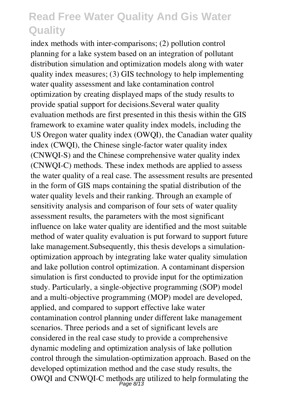index methods with inter-comparisons; (2) pollution control planning for a lake system based on an integration of pollutant distribution simulation and optimization models along with water quality index measures; (3) GIS technology to help implementing water quality assessment and lake contamination control optimization by creating displayed maps of the study results to provide spatial support for decisions.Several water quality evaluation methods are first presented in this thesis within the GIS framework to examine water quality index models, including the US Oregon water quality index (OWQI), the Canadian water quality index (CWQI), the Chinese single-factor water quality index (CNWQI-S) and the Chinese comprehensive water quality index (CNWQI-C) methods. These index methods are applied to assess the water quality of a real case. The assessment results are presented in the form of GIS maps containing the spatial distribution of the water quality levels and their ranking. Through an example of sensitivity analysis and comparison of four sets of water quality assessment results, the parameters with the most significant influence on lake water quality are identified and the most suitable method of water quality evaluation is put forward to support future lake management.Subsequently, this thesis develops a simulationoptimization approach by integrating lake water quality simulation and lake pollution control optimization. A contaminant dispersion simulation is first conducted to provide input for the optimization study. Particularly, a single-objective programming (SOP) model and a multi-objective programming (MOP) model are developed, applied, and compared to support effective lake water contamination control planning under different lake management scenarios. Three periods and a set of significant levels are considered in the real case study to provide a comprehensive dynamic modeling and optimization analysis of lake pollution control through the simulation-optimization approach. Based on the developed optimization method and the case study results, the OWQI and CNWQI-C methods are utilized to help formulating the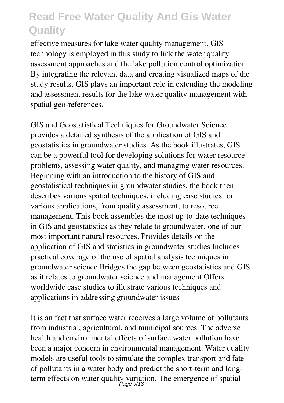effective measures for lake water quality management. GIS technology is employed in this study to link the water quality assessment approaches and the lake pollution control optimization. By integrating the relevant data and creating visualized maps of the study results, GIS plays an important role in extending the modeling and assessment results for the lake water quality management with spatial geo-references.

GIS and Geostatistical Techniques for Groundwater Science provides a detailed synthesis of the application of GIS and geostatistics in groundwater studies. As the book illustrates, GIS can be a powerful tool for developing solutions for water resource problems, assessing water quality, and managing water resources. Beginning with an introduction to the history of GIS and geostatistical techniques in groundwater studies, the book then describes various spatial techniques, including case studies for various applications, from quality assessment, to resource management. This book assembles the most up-to-date techniques in GIS and geostatistics as they relate to groundwater, one of our most important natural resources. Provides details on the application of GIS and statistics in groundwater studies Includes practical coverage of the use of spatial analysis techniques in groundwater science Bridges the gap between geostatistics and GIS as it relates to groundwater science and management Offers worldwide case studies to illustrate various techniques and applications in addressing groundwater issues

It is an fact that surface water receives a large volume of pollutants from industrial, agricultural, and municipal sources. The adverse health and environmental effects of surface water pollution have been a major concern in environmental management. Water quality models are useful tools to simulate the complex transport and fate of pollutants in a water body and predict the short-term and longterm effects on water quality variation. The emergence of spatial<br>*Page 9/13*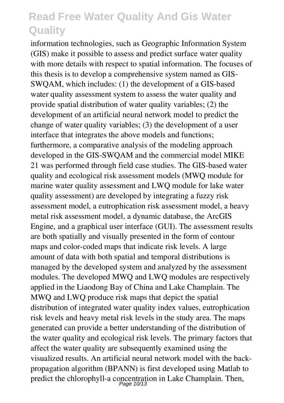information technologies, such as Geographic Information System (GIS) make it possible to assess and predict surface water quality with more details with respect to spatial information. The focuses of this thesis is to develop a comprehensive system named as GIS-SWQAM, which includes: (1) the development of a GIS-based water quality assessment system to assess the water quality and provide spatial distribution of water quality variables; (2) the development of an artificial neural network model to predict the change of water quality variables; (3) the development of a user interface that integrates the above models and functions; furthermore, a comparative analysis of the modeling approach developed in the GIS-SWQAM and the commercial model MIKE 21 was performed through field case studies. The GIS-based water quality and ecological risk assessment models (MWQ module for marine water quality assessment and LWQ module for lake water quality assessment) are developed by integrating a fuzzy risk assessment model, a eutrophication risk assessment model, a heavy metal risk assessment model, a dynamic database, the ArcGIS Engine, and a graphical user interface (GUI). The assessment results are both spatially and visually presented in the form of contour maps and color-coded maps that indicate risk levels. A large amount of data with both spatial and temporal distributions is managed by the developed system and analyzed by the assessment modules. The developed MWQ and LWQ modules are respectively applied in the Liaodong Bay of China and Lake Champlain. The MWQ and LWQ produce risk maps that depict the spatial distribution of integrated water quality index values, eutrophication risk levels and heavy metal risk levels in the study area. The maps generated can provide a better understanding of the distribution of the water quality and ecological risk levels. The primary factors that affect the water quality are subsequently examined using the visualized results. An artificial neural network model with the backpropagation algorithm (BPANN) is first developed using Matlab to predict the chlorophyll-a concentration in Lake Champlain. Then,<br>Page 10/13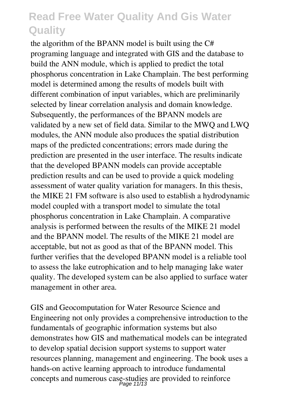the algorithm of the BPANN model is built using the C# programing language and integrated with GIS and the database to build the ANN module, which is applied to predict the total phosphorus concentration in Lake Champlain. The best performing model is determined among the results of models built with different combination of input variables, which are preliminarily selected by linear correlation analysis and domain knowledge. Subsequently, the performances of the BPANN models are validated by a new set of field data. Similar to the MWQ and LWQ modules, the ANN module also produces the spatial distribution maps of the predicted concentrations; errors made during the prediction are presented in the user interface. The results indicate that the developed BPANN models can provide acceptable prediction results and can be used to provide a quick modeling assessment of water quality variation for managers. In this thesis, the MIKE 21 FM software is also used to establish a hydrodynamic model coupled with a transport model to simulate the total phosphorus concentration in Lake Champlain. A comparative analysis is performed between the results of the MIKE 21 model and the BPANN model. The results of the MIKE 21 model are acceptable, but not as good as that of the BPANN model. This further verifies that the developed BPANN model is a reliable tool to assess the lake eutrophication and to help managing lake water quality. The developed system can be also applied to surface water management in other area.

GIS and Geocomputation for Water Resource Science and Engineering not only provides a comprehensive introduction to the fundamentals of geographic information systems but also demonstrates how GIS and mathematical models can be integrated to develop spatial decision support systems to support water resources planning, management and engineering. The book uses a hands-on active learning approach to introduce fundamental concepts and numerous case-studies are provided to reinforce Page 11/13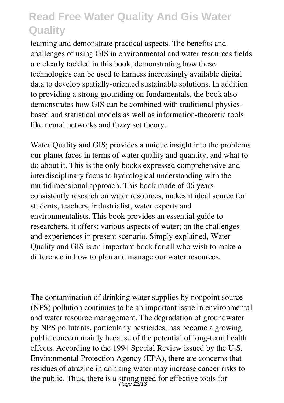learning and demonstrate practical aspects. The benefits and challenges of using GIS in environmental and water resources fields are clearly tackled in this book, demonstrating how these technologies can be used to harness increasingly available digital data to develop spatially-oriented sustainable solutions. In addition to providing a strong grounding on fundamentals, the book also demonstrates how GIS can be combined with traditional physicsbased and statistical models as well as information-theoretic tools like neural networks and fuzzy set theory.

Water Quality and GIS; provides a unique insight into the problems our planet faces in terms of water quality and quantity, and what to do about it. This is the only books expressed comprehensive and interdisciplinary focus to hydrological understanding with the multidimensional approach. This book made of 06 years consistently research on water resources, makes it ideal source for students, teachers, industrialist, water experts and environmentalists. This book provides an essential guide to researchers, it offers: various aspects of water; on the challenges and experiences in present scenario. Simply explained, Water Quality and GIS is an important book for all who wish to make a difference in how to plan and manage our water resources.

The contamination of drinking water supplies by nonpoint source (NPS) pollution continues to be an important issue in environmental and water resource management. The degradation of groundwater by NPS pollutants, particularly pesticides, has become a growing public concern mainly because of the potential of long-term health effects. According to the 1994 Special Review issued by the U.S. Environmental Protection Agency (EPA), there are concerns that residues of atrazine in drinking water may increase cancer risks to the public. Thus, there is a strong need for effective tools for  $\frac{Page \t2/13}{Page \t2/13}$